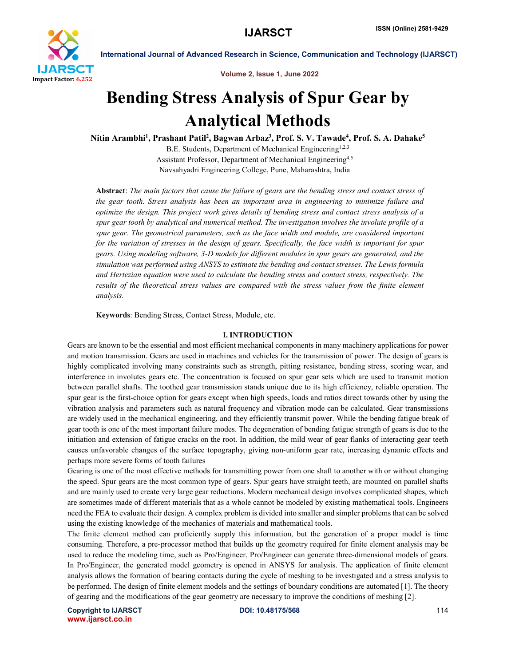

Volume 2, Issue 1, June 2022

# Bending Stress Analysis of Spur Gear by Analytical Methods

Nitin Arambhi<sup>1</sup>, Prashant Patil<sup>2</sup>, Bagwan Arbaz<sup>3</sup>, Prof. S. V. Tawade<sup>4</sup>, Prof. S. A. Dahake<sup>5</sup>

B.E. Students, Department of Mechanical Engineering<sup>1,2,3</sup> Assistant Professor, Department of Mechanical Engineering4,5 Navsahyadri Engineering College, Pune, Maharashtra, India

Abstract: *The main factors that cause the failure of gears are the bending stress and contact stress of the gear tooth. Stress analysis has been an important area in engineering to minimize failure and optimize the design. This project work gives details of bending stress and contact stress analysis of a spur gear tooth by analytical and numerical method. The investigation involves the involute profile of a spur gear. The geometrical parameters, such as the face width and module, are considered important for the variation of stresses in the design of gears. Specifically, the face width is important for spur gears. Using modeling software, 3-D models for different modules in spur gears are generated, and the simulation was performed using ANSYS to estimate the bending and contact stresses. The Lewis formula and Hertezian equation were used to calculate the bending stress and contact stress, respectively. The results of the theoretical stress values are compared with the stress values from the finite element analysis.*

Keywords: Bending Stress, Contact Stress, Module, etc.

#### I. INTRODUCTION

Gears are known to be the essential and most efficient mechanical components in many machinery applications for power and motion transmission. Gears are used in machines and vehicles for the transmission of power. The design of gears is highly complicated involving many constraints such as strength, pitting resistance, bending stress, scoring wear, and interference in involutes gears etc. The concentration is focused on spur gear sets which are used to transmit motion between parallel shafts. The toothed gear transmission stands unique due to its high efficiency, reliable operation. The spur gear is the first-choice option for gears except when high speeds, loads and ratios direct towards other by using the vibration analysis and parameters such as natural frequency and vibration mode can be calculated. Gear transmissions are widely used in the mechanical engineering, and they efficiently transmit power. While the bending fatigue break of gear tooth is one of the most important failure modes. The degeneration of bending fatigue strength of gears is due to the initiation and extension of fatigue cracks on the root. In addition, the mild wear of gear flanks of interacting gear teeth causes unfavorable changes of the surface topography, giving non-uniform gear rate, increasing dynamic effects and perhaps more severe forms of tooth failures

Gearing is one of the most effective methods for transmitting power from one shaft to another with or without changing the speed. Spur gears are the most common type of gears. Spur gears have straight teeth, are mounted on parallel shafts and are mainly used to create very large gear reductions. Modern mechanical design involves complicated shapes, which are sometimes made of different materials that as a whole cannot be modeled by existing mathematical tools. Engineers need the FEA to evaluate their design. A complex problem is divided into smaller and simpler problems that can be solved using the existing knowledge of the mechanics of materials and mathematical tools.

The finite element method can proficiently supply this information, but the generation of a proper model is time consuming. Therefore, a pre-processor method that builds up the geometry required for finite element analysis may be used to reduce the modeling time, such as Pro/Engineer. Pro/Engineer can generate three-dimensional models of gears. In Pro/Engineer, the generated model geometry is opened in ANSYS for analysis. The application of finite element analysis allows the formation of bearing contacts during the cycle of meshing to be investigated and a stress analysis to be performed. The design of finite element models and the settings of boundary conditions are automated [1]. The theory of gearing and the modifications of the gear geometry are necessary to improve the conditions of meshing [2].

Copyright to IJARSCT **DOI: 10.48175/568** 114 www.ijarsct.co.in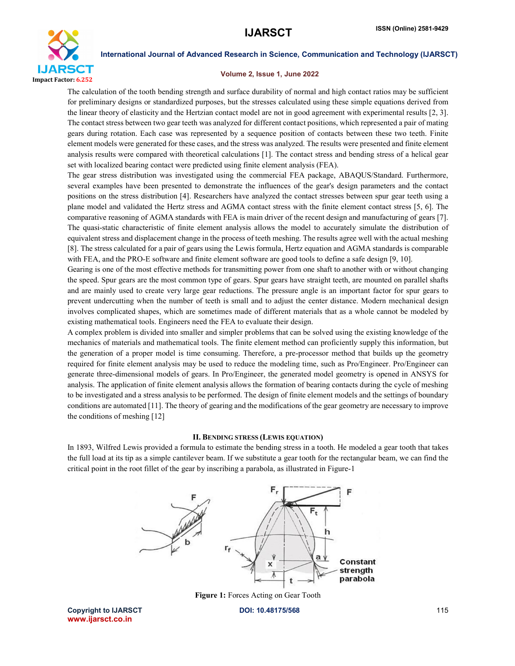

#### Volume 2, Issue 1, June 2022

The calculation of the tooth bending strength and surface durability of normal and high contact ratios may be sufficient for preliminary designs or standardized purposes, but the stresses calculated using these simple equations derived from the linear theory of elasticity and the Hertzian contact model are not in good agreement with experimental results [2, 3]. The contact stress between two gear teeth was analyzed for different contact positions, which represented a pair of mating gears during rotation. Each case was represented by a sequence position of contacts between these two teeth. Finite element models were generated for these cases, and the stress was analyzed. The results were presented and finite element analysis results were compared with theoretical calculations [1]. The contact stress and bending stress of a helical gear set with localized bearing contact were predicted using finite element analysis (FEA).

The gear stress distribution was investigated using the commercial FEA package, ABAQUS/Standard. Furthermore, several examples have been presented to demonstrate the influences of the gear's design parameters and the contact positions on the stress distribution [4]. Researchers have analyzed the contact stresses between spur gear teeth using a plane model and validated the Hertz stress and AGMA contact stress with the finite element contact stress [5, 6]. The comparative reasoning of AGMA standards with FEA is main driver of the recent design and manufacturing of gears [7]. The quasi-static characteristic of finite element analysis allows the model to accurately simulate the distribution of equivalent stress and displacement change in the process of teeth meshing. The results agree well with the actual meshing [8]. The stress calculated for a pair of gears using the Lewis formula, Hertz equation and AGMA standards is comparable with FEA, and the PRO-E software and finite element software are good tools to define a safe design [9, 10].

Gearing is one of the most effective methods for transmitting power from one shaft to another with or without changing the speed. Spur gears are the most common type of gears. Spur gears have straight teeth, are mounted on parallel shafts and are mainly used to create very large gear reductions. The pressure angle is an important factor for spur gears to prevent undercutting when the number of teeth is small and to adjust the center distance. Modern mechanical design involves complicated shapes, which are sometimes made of different materials that as a whole cannot be modeled by existing mathematical tools. Engineers need the FEA to evaluate their design.

A complex problem is divided into smaller and simpler problems that can be solved using the existing knowledge of the mechanics of materials and mathematical tools. The finite element method can proficiently supply this information, but the generation of a proper model is time consuming. Therefore, a pre-processor method that builds up the geometry required for finite element analysis may be used to reduce the modeling time, such as Pro/Engineer. Pro/Engineer can generate three-dimensional models of gears. In Pro/Engineer, the generated model geometry is opened in ANSYS for analysis. The application of finite element analysis allows the formation of bearing contacts during the cycle of meshing to be investigated and a stress analysis to be performed. The design of finite element models and the settings of boundary conditions are automated [11]. The theory of gearing and the modifications of the gear geometry are necessary to improve the conditions of meshing [12]

#### II. BENDING STRESS (LEWIS EQUATION)

In 1893, Wilfred Lewis provided a formula to estimate the bending stress in a tooth. He modeled a gear tooth that takes the full load at its tip as a simple cantilever beam. If we substitute a gear tooth for the rectangular beam, we can find the critical point in the root fillet of the gear by inscribing a parabola, as illustrated in Figure-1



Figure 1: Forces Acting on Gear Tooth

Copyright to IJARSCT **DOI: 10.48175/568** 115 www.ijarsct.co.in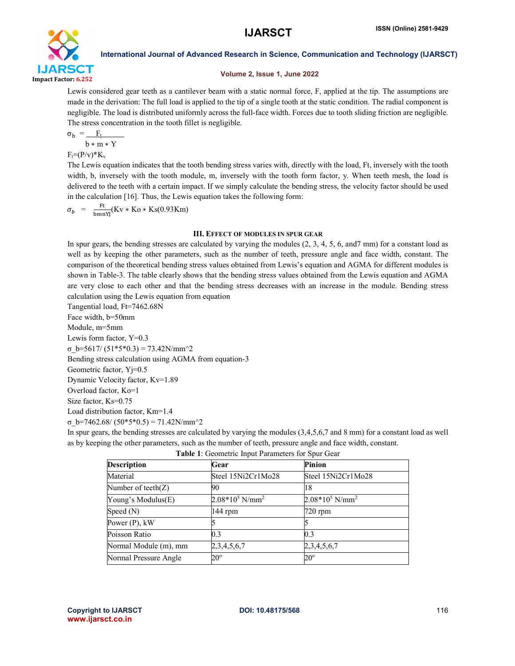

## Volume 2, Issue 1, June 2022

Lewis considered gear teeth as a cantilever beam with a static normal force, F, applied at the tip. The assumptions are made in the derivation: The full load is applied to the tip of a single tooth at the static condition. The radial component is negligible. The load is distributed uniformly across the full-face width. Forces due to tooth sliding friction are negligible. The stress concentration in the tooth fillet is negligible.

$$
\sigma_{\rm b} = \underline{F_{\rm t}}
$$

 $b * m * Y$ 

 $F_t=(P/v)*K_v$ 

The Lewis equation indicates that the tooth bending stress varies with, directly with the load, Ft, inversely with the tooth width, b, inversely with the tooth module, m, inversely with the tooth form factor, y. When teeth mesh, the load is delivered to the teeth with a certain impact. If we simply calculate the bending stress, the velocity factor should be used in the calculation [16]. Thus, the Lewis equation takes the following form:

 $\sigma_b$  =  $\frac{\text{Ft}}{\text{bmmYJ}}(\text{Kv} * \text{Ko} * \text{Ks}(0.93 \text{Km}))$ 

### III. EFFECT OF MODULES IN SPUR GEAR

In spur gears, the bending stresses are calculated by varying the modules (2, 3, 4, 5, 6, and7 mm) for a constant load as well as by keeping the other parameters, such as the number of teeth, pressure angle and face width, constant. The comparison of the theoretical bending stress values obtained from Lewis's equation and AGMA for different modules is shown in Table-3. The table clearly shows that the bending stress values obtained from the Lewis equation and AGMA are very close to each other and that the bending stress decreases with an increase in the module. Bending stress calculation using the Lewis equation from equation

Tangential load, Ft=7462.68N Face width, b=50mm Module, m=5mm Lewis form factor, Y=0.3 σ\_b=5617/ (51\*5\*0.3) = 73.42N/mm^2 Bending stress calculation using AGMA from equation-3 Geometric factor, Yj=0.5 Dynamic Velocity factor, Kv=1.89 Overload factor, Ko=1 Size factor, Ks=0.75 Load distribution factor, Km=1.4 σ\_b=7462.68/ (50\*5\*0.5) = 71.42N/mm^2

In spur gears, the bending stresses are calculated by varying the modules (3,4,5,6,7 and 8 mm) for a constant load as well as by keeping the other parameters, such as the number of teeth, pressure angle and face width, constant.

| Table 1: Geometric Input Parameters for Spur Gear |  |
|---------------------------------------------------|--|
|---------------------------------------------------|--|

| <b>Description</b>    | Gear               | Pinion                        |
|-----------------------|--------------------|-------------------------------|
| Material              | Steel 15Ni2Cr1Mo28 | Steel 15Ni2Cr1Mo28            |
| Number of teeth $(Z)$ | 90                 | 18                            |
| Young's Modulus(E)    | $2.08*105 N/mm2$   | $2.08*10^5$ N/mm <sup>2</sup> |
| Speed (N)             | 144 rpm            | $720$ rpm                     |
| Power (P), kW         |                    |                               |
| Poisson Ratio         | 0.3                | 0.3                           |
| Normal Module (m), mm | 2, 3, 4, 5, 6, 7   | 2,3,4,5,6,7                   |
| Normal Pressure Angle | $20^{\circ}$       | $20^{\circ}$                  |
|                       |                    |                               |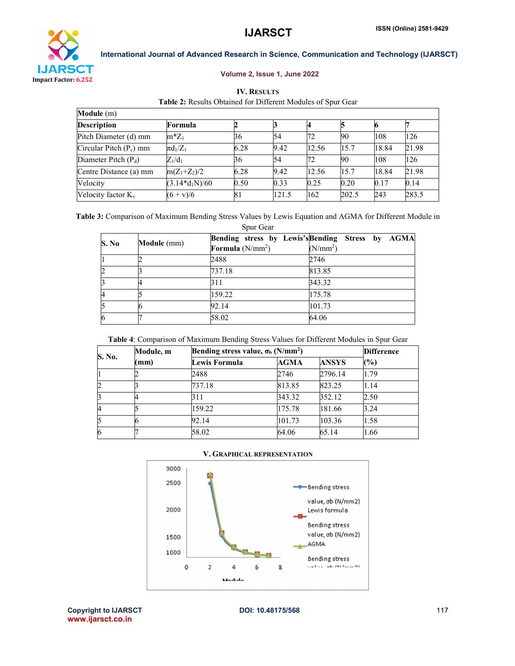

# Volume 2, Issue 1, June 2022

| <b>IV. RESULTS</b>                                           |
|--------------------------------------------------------------|
| Table 2: Results Obtained for Different Modules of Spur Gear |

| Module (m)                  |                  |      |       |       |       |       |       |
|-----------------------------|------------------|------|-------|-------|-------|-------|-------|
| <b>Description</b>          | Formula          |      |       |       |       |       |       |
| Pitch Diameter (d) mm       | $m^*Z_1$         | 36   | 54    | 72    | 90    | 108   | 126   |
| $Circular$ Pitch $(P_c)$ mm | $\pi d_1/Z_1$    | 6.28 | 9.42  | 12.56 | 15.7  | 18.84 | 21.98 |
| Diameter Pitch $(P_d)$      | $Z_1/d_1$        | 36   | 54    | 72    | 90    | 108   | 126   |
| Centre Distance (a) mm      | $m(Z_1+Z_2)/2$   | 6.28 | 9.42  | 12.56 | 15.7  | 18.84 | 21.98 |
| Velocity                    | $(3.14*d_1N)/60$ | 0.50 | 0.33  | 0.25  | 0.20  | 0.17  | 0.14  |
| Velocity factor $K_v$       | $(6 + v)/6$      | 81   | 121.5 | 162   | 202.5 | 243   | 283.5 |

Table 3: Comparison of Maximum Bending Stress Values by Lewis Equation and AGMA for Different Module in Spur Gear

| S. No | Module (mm) |                    | Bending stress by Lewis's Bending Stress by AGMA |
|-------|-------------|--------------------|--------------------------------------------------|
|       |             | Formula $(N/mm^2)$ | (N/mm <sup>2</sup> )                             |
|       |             | 2488               | 2746                                             |
|       |             | 737.18             | 813.85                                           |
|       |             | 311                | 343.32                                           |
|       |             | 159.22             | 175.78                                           |
|       |             | 92.14              | 101.73                                           |
|       |             | 58.02              | 64.06                                            |

Table 4: Comparison of Maximum Bending Stress Values for Different Modules in Spur Gear

| S. No. | Module, m | Bending stress value, $\sigma_b$ (N/mm <sup>2</sup> ) | <b>Difference</b> |              |      |
|--------|-----------|-------------------------------------------------------|-------------------|--------------|------|
|        | mm)       | Lewis Formula                                         | AGMA              | <b>ANSYS</b> | (%)  |
|        |           | 2488                                                  | 2746              | 2796.14      | 1.79 |
| 2      |           | 737.18                                                | 813.85            | 823.25       | 1.14 |
| 3      |           | 311                                                   | 343.32            | 352.12       | 2.50 |
| 4      |           | 159.22                                                | 175.78            | 181.66       | 3.24 |
| 5      |           | 92.14                                                 | 101.73            | 103.36       | 1.58 |
| 6      |           | 58.02                                                 | 64.06             | 65.14        | 1.66 |

## V. GRAPHICAL REPRESENTATION



Copyright to IJARSCT **DOI: 10.48175/568** 117 www.ijarsct.co.in